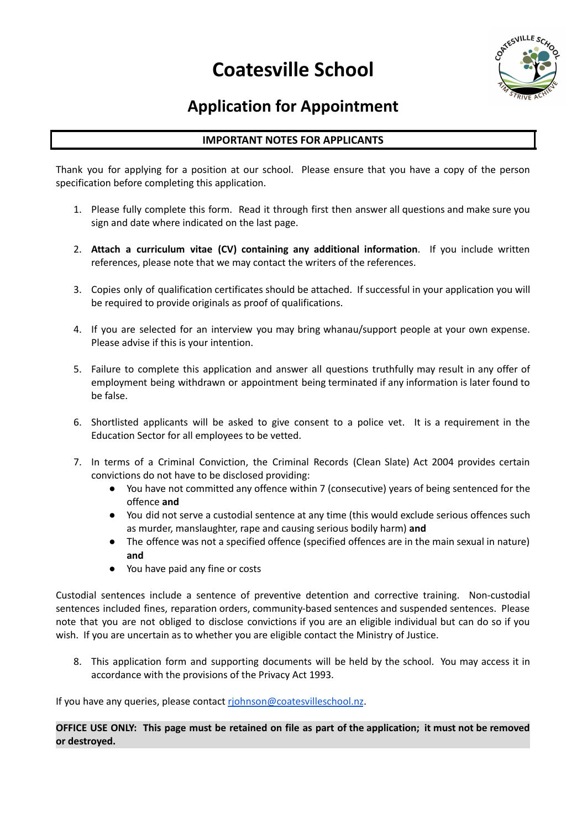# **Coatesville School**



## **Application for Appointment**

### **IMPORTANT NOTES FOR APPLICANTS**

Thank you for applying for a position at our school. Please ensure that you have a copy of the person specification before completing this application.

- 1. Please fully complete this form. Read it through first then answer all questions and make sure you sign and date where indicated on the last page.
- 2. **Attach a curriculum vitae (CV) containing any additional information**. If you include written references, please note that we may contact the writers of the references.
- 3. Copies only of qualification certificates should be attached. If successful in your application you will be required to provide originals as proof of qualifications.
- 4. If you are selected for an interview you may bring whanau/support people at your own expense. Please advise if this is your intention.
- 5. Failure to complete this application and answer all questions truthfully may result in any offer of employment being withdrawn or appointment being terminated if any information is later found to be false.
- 6. Shortlisted applicants will be asked to give consent to a police vet. It is a requirement in the Education Sector for all employees to be vetted.
- 7. In terms of a Criminal Conviction, the Criminal Records (Clean Slate) Act 2004 provides certain convictions do not have to be disclosed providing:
	- You have not committed any offence within 7 (consecutive) years of being sentenced for the offence **and**
	- You did not serve a custodial sentence at any time (this would exclude serious offences such as murder, manslaughter, rape and causing serious bodily harm) **and**
	- The offence was not a specified offence (specified offences are in the main sexual in nature) **and**
	- You have paid any fine or costs

Custodial sentences include a sentence of preventive detention and corrective training. Non-custodial sentences included fines, reparation orders, community-based sentences and suspended sentences. Please note that you are not obliged to disclose convictions if you are an eligible individual but can do so if you wish. If you are uncertain as to whether you are eligible contact the Ministry of Justice.

8. This application form and supporting documents will be held by the school. You may access it in accordance with the provisions of the Privacy Act 1993.

If you have any queries, please contact [rjohnson@coatesvilleschool.nz](mailto:rjohnson@coatesvilleschool.nz).

OFFICE USE ONLY: This page must be retained on file as part of the application; it must not be removed **or destroyed.**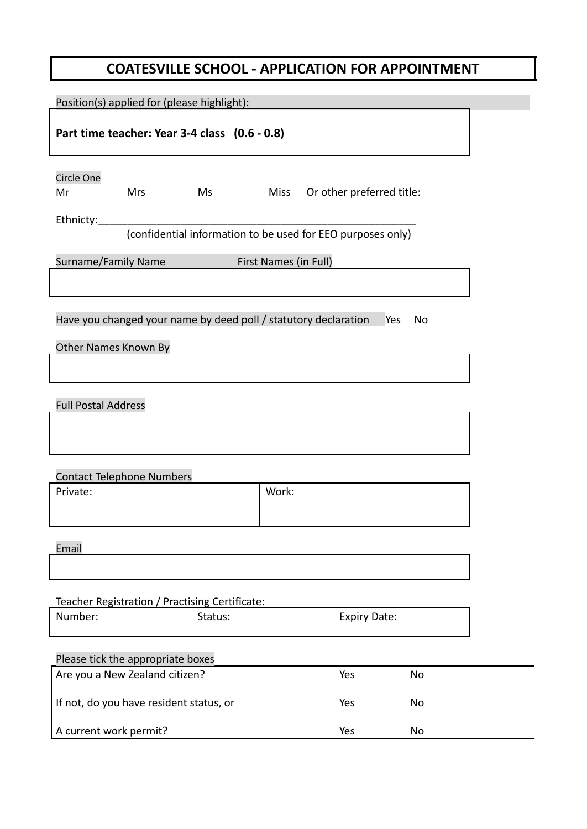## **COATESVILLE SCHOOL - APPLICATION FOR APPOINTMENT**

| Position(s) applied for (please highlight):                                                                      |                       |                                |    |
|------------------------------------------------------------------------------------------------------------------|-----------------------|--------------------------------|----|
| Part time teacher: Year 3-4 class (0.6 - 0.8)                                                                    |                       |                                |    |
| Circle One<br><b>Mrs</b><br>Ms<br>Mr<br>Ethnicty:<br>(confidential information to be used for EEO purposes only) |                       | Miss Or other preferred title: |    |
| Surname/Family Name                                                                                              | First Names (in Full) |                                |    |
|                                                                                                                  |                       |                                |    |
| Have you changed your name by deed poll / statutory declaration<br>Other Names Known By                          |                       | Yes                            | No |
| <b>Full Postal Address</b>                                                                                       |                       |                                |    |
| <b>Contact Telephone Numbers</b>                                                                                 |                       |                                |    |
| Private:                                                                                                         | Work:                 |                                |    |
| Email                                                                                                            |                       |                                |    |
| Teacher Registration / Practising Certificate:                                                                   |                       |                                |    |
| Number:<br>Status:                                                                                               |                       | <b>Expiry Date:</b>            |    |
| Please tick the appropriate boxes                                                                                |                       |                                |    |
| Are you a New Zealand citizen?                                                                                   |                       | Yes                            | No |
| If not, do you have resident status, or                                                                          |                       | Yes                            | No |

A current work permit? No was not all the No was not all the No was not all the No was not all the No was not  $N$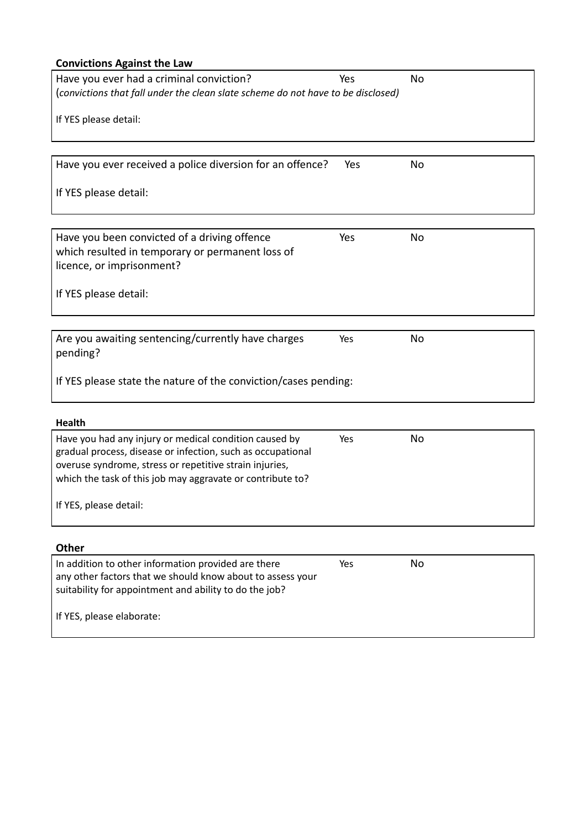## **Convictions Against the Law**

| Have you ever had a criminal conviction?                                         | Yes | <b>No</b> |  |
|----------------------------------------------------------------------------------|-----|-----------|--|
| (convictions that fall under the clean slate scheme do not have to be disclosed) |     |           |  |
| If YES please detail:                                                            |     |           |  |
|                                                                                  |     |           |  |
|                                                                                  |     |           |  |
| Have you ever received a police diversion for an offence?                        | Yes | No        |  |
| If YES please detail:                                                            |     |           |  |
|                                                                                  |     |           |  |
| Have you been convicted of a driving offence                                     | Yes | <b>No</b> |  |
| which resulted in temporary or permanent loss of                                 |     |           |  |
| licence, or imprisonment?                                                        |     |           |  |
| If YES please detail:                                                            |     |           |  |
|                                                                                  |     |           |  |
|                                                                                  |     |           |  |
| Are you awaiting sentencing/currently have charges<br>pending?                   | Yes | No        |  |
| If YES please state the nature of the conviction/cases pending:                  |     |           |  |
|                                                                                  |     |           |  |
|                                                                                  |     |           |  |
| Health                                                                           |     |           |  |

| Have you had any injury or medical condition caused by<br>gradual process, disease or infection, such as occupational | Yes. | No. |
|-----------------------------------------------------------------------------------------------------------------------|------|-----|
| overuse syndrome, stress or repetitive strain injuries,<br>which the task of this job may aggravate or contribute to? |      |     |
| If YES, please detail:                                                                                                |      |     |

## **Other**

| In addition to other information provided are there        | Yes | Nο |
|------------------------------------------------------------|-----|----|
| any other factors that we should know about to assess your |     |    |
| suitability for appointment and ability to do the job?     |     |    |
|                                                            |     |    |
| If YES, please elaborate:                                  |     |    |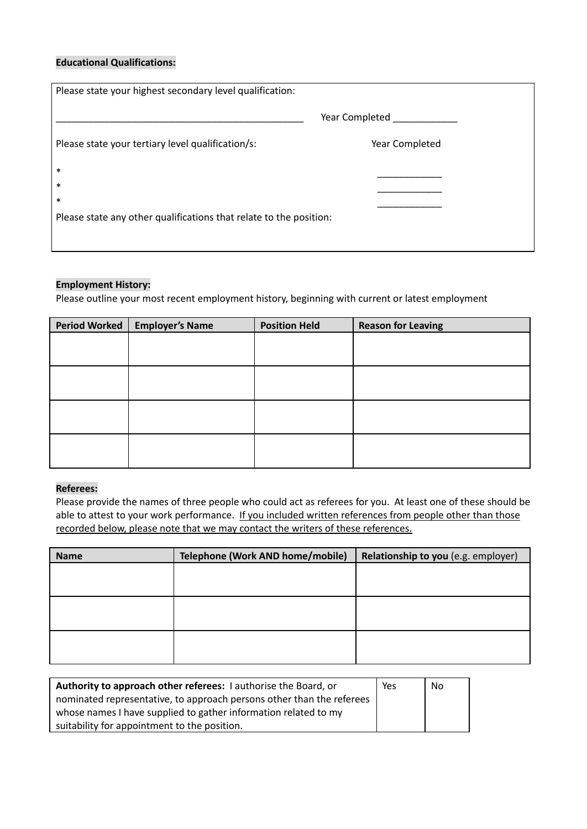### **Educational Qualifications:**

| Please state your highest secondary level qualification:                                         |                |  |  |
|--------------------------------------------------------------------------------------------------|----------------|--|--|
|                                                                                                  | Year Completed |  |  |
| Please state your tertiary level qualification/s:                                                | Year Completed |  |  |
| $\ast$<br>$\ast$<br>$\ast$<br>Please state any other qualifications that relate to the position: |                |  |  |

#### **Employment History:**

Please outline your most recent employment history, beginning with current or latest employment

| Period Worked | <b>Employer's Name</b> | <b>Position Held</b> | <b>Reason for Leaving</b> |
|---------------|------------------------|----------------------|---------------------------|
|               |                        |                      |                           |
|               |                        |                      |                           |
|               |                        |                      |                           |
|               |                        |                      |                           |
|               |                        |                      |                           |
|               |                        |                      |                           |
|               |                        |                      |                           |
|               |                        |                      |                           |

#### **Referees:**

Please provide the names of three people who could act as referees for you. At least one of these should be able to attest to your work performance. If you included written references from people other than those recorded below, please note that we may contact the writers of these references.

| <b>Name</b> | Telephone (Work AND home/mobile) | Relationship to you (e.g. employer) |
|-------------|----------------------------------|-------------------------------------|
|             |                                  |                                     |
|             |                                  |                                     |
|             |                                  |                                     |
|             |                                  |                                     |
|             |                                  |                                     |
|             |                                  |                                     |

| Authority to approach other referees: I authorise the Board, or       |  | <b>No</b> |
|-----------------------------------------------------------------------|--|-----------|
| nominated representative, to approach persons other than the referees |  |           |
| whose names I have supplied to gather information related to my       |  |           |
| suitability for appointment to the position.                          |  |           |